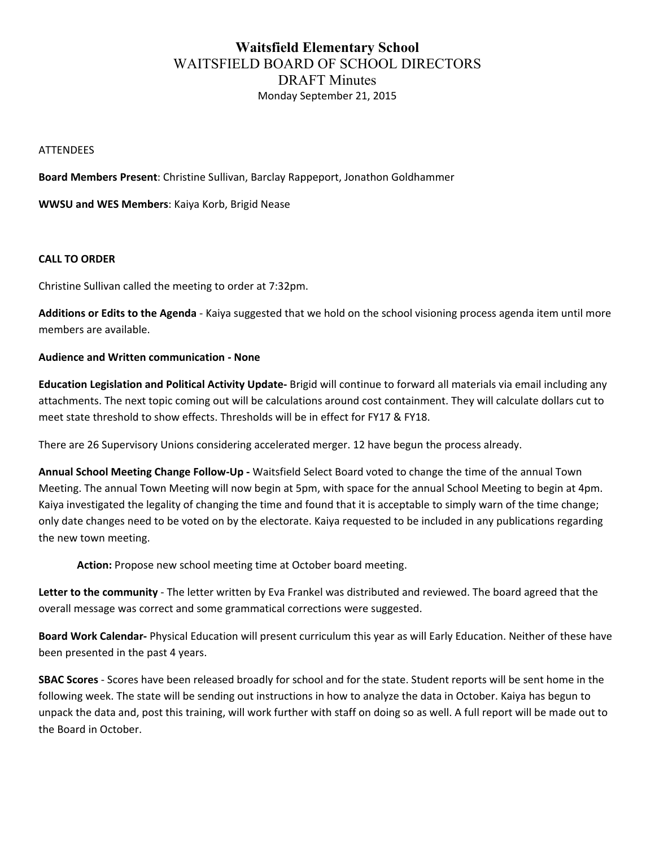# **Waitsfield Elementary School** WAITSFIELD BOARD OF SCHOOL DIRECTORS DRAFT Minutes Monday September 21, 2015

#### **ATTENDEES**

**Board Members Present:** Christine Sullivan, Barclay Rappeport, Jonathon Goldhammer

**WWSU and WES Members: Kaiya Korb, Brigid Nease** 

### **CALL TO ORDER**

Christine Sullivan called the meeting to order at 7:32pm.

Additions or Edits to the Agenda - Kaiya suggested that we hold on the school visioning process agenda item until more members are available.

### **Audience and Written communication - None**

**Education Legislation and Political Activity Update**- Brigid will continue to forward all materials via email including any attachments. The next topic coming out will be calculations around cost containment. They will calculate dollars cut to meet state threshold to show effects. Thresholds will be in effect for FY17 & FY18.

There are 26 Supervisory Unions considering accelerated merger. 12 have begun the process already.

Annual School Meeting Change Follow-Up - Waitsfield Select Board voted to change the time of the annual Town Meeting. The annual Town Meeting will now begin at 5pm, with space for the annual School Meeting to begin at 4pm. Kaiya investigated the legality of changing the time and found that it is acceptable to simply warn of the time change; only date changes need to be voted on by the electorate. Kaiya requested to be included in any publications regarding the new town meeting.

Action: Propose new school meeting time at October board meeting.

Letter to the community - The letter written by Eva Frankel was distributed and reviewed. The board agreed that the overall message was correct and some grammatical corrections were suggested.

Board Work Calendar- Physical Education will present curriculum this year as will Early Education. Neither of these have been presented in the past 4 years.

**SBAC Scores** - Scores have been released broadly for school and for the state. Student reports will be sent home in the following week. The state will be sending out instructions in how to analyze the data in October. Kaiya has begun to unpack the data and, post this training, will work further with staff on doing so as well. A full report will be made out to the Board in October.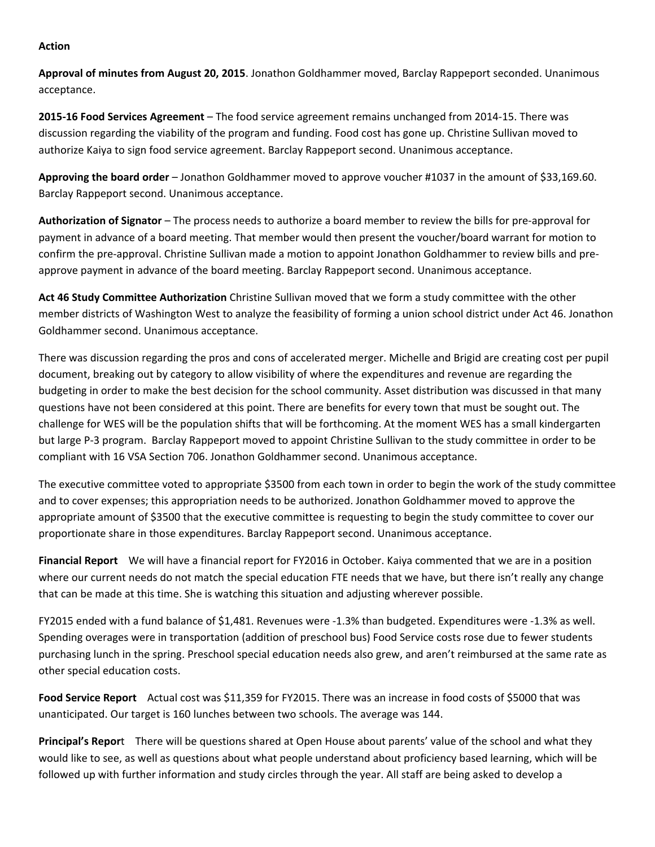#### **Action**

Approval of minutes from August 20, 2015. Jonathon Goldhammer moved, Barclay Rappeport seconded. Unanimous acceptance.

**2015-16 Food Services Agreement** – The food service agreement remains unchanged from 2014-15. There was discussion regarding the viability of the program and funding. Food cost has gone up. Christine Sullivan moved to authorize Kaiya to sign food service agreement. Barclay Rappeport second. Unanimous acceptance.

Approving the board order – Jonathon Goldhammer moved to approve voucher #1037 in the amount of \$33,169.60. Barclay Rappeport second. Unanimous acceptance.

Authorization of Signator – The process needs to authorize a board member to review the bills for pre-approval for payment in advance of a board meeting. That member would then present the voucher/board warrant for motion to confirm the pre-approval. Christine Sullivan made a motion to appoint Jonathon Goldhammer to review bills and preapprove payment in advance of the board meeting. Barclay Rappeport second. Unanimous acceptance.

Act 46 Study Committee Authorization Christine Sullivan moved that we form a study committee with the other member districts of Washington West to analyze the feasibility of forming a union school district under Act 46. Jonathon Goldhammer second. Unanimous acceptance.

There was discussion regarding the pros and cons of accelerated merger. Michelle and Brigid are creating cost per pupil document, breaking out by category to allow visibility of where the expenditures and revenue are regarding the budgeting in order to make the best decision for the school community. Asset distribution was discussed in that many questions have not been considered at this point. There are benefits for every town that must be sought out. The challenge for WES will be the population shifts that will be forthcoming. At the moment WES has a small kindergarten but large P-3 program. Barclay Rappeport moved to appoint Christine Sullivan to the study committee in order to be compliant with 16 VSA Section 706. Jonathon Goldhammer second. Unanimous acceptance.

The executive committee voted to appropriate \$3500 from each town in order to begin the work of the study committee and to cover expenses; this appropriation needs to be authorized. Jonathon Goldhammer moved to approve the appropriate amount of \$3500 that the executive committee is requesting to begin the study committee to cover our proportionate share in those expenditures. Barclay Rappeport second. Unanimous acceptance.

**Financial Report** We will have a financial report for FY2016 in October. Kaiya commented that we are in a position where our current needs do not match the special education FTE needs that we have, but there isn't really any change that can be made at this time. She is watching this situation and adjusting wherever possible.

FY2015 ended with a fund balance of \$1,481. Revenues were -1.3% than budgeted. Expenditures were -1.3% as well. Spending overages were in transportation (addition of preschool bus) Food Service costs rose due to fewer students purchasing lunch in the spring. Preschool special education needs also grew, and aren't reimbursed at the same rate as other special education costs.

**Food Service Report** Actual cost was \$11,359 for FY2015. There was an increase in food costs of \$5000 that was unanticipated. Our target is 160 lunches between two schools. The average was 144.

**Principal's Report** There will be questions shared at Open House about parents' value of the school and what they would like to see, as well as questions about what people understand about proficiency based learning, which will be followed up with further information and study circles through the year. All staff are being asked to develop a